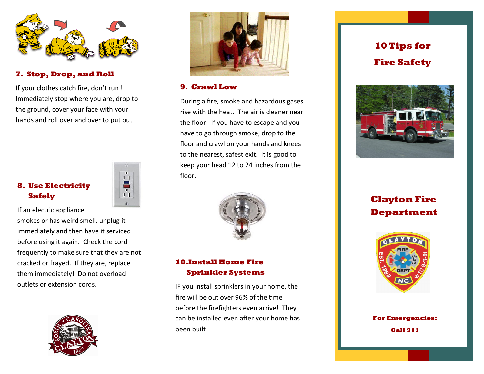

#### **7. Stop, Drop, and Roll**

If your clothes catch fire, don't run ! Immediately stop where you are, drop to the ground, cover your face with your hands and roll over and over to put out

# **8. Use Electricity Safely**



If an electric appliance smokes or has weird smell, unplug it immediately and then have it serviced before using it again. Check the cord frequently to make sure that they are not cracked or frayed. If they are, replace them immediately! Do not overload outlets or extension cords.





#### **9. Crawl Low**

During a fire, smoke and hazardous gases rise with the heat. The air is cleaner near the floor. If you have to escape and you have to go through smoke, drop to the floor and crawl on your hands and knees to the nearest, safest exit. It is good to keep your head 12 to 24 inches from the floor.



# **10.Install Home Fire Sprinkler Systems**

IF you install sprinklers in your home, the fire will be out over 96% of the time before the firefighters even arrive! They can be installed even after your home has been built!

# **10 Tips for Fire Safety**



**Clayton Fire Department** 



**For Emergencies: Call 911**